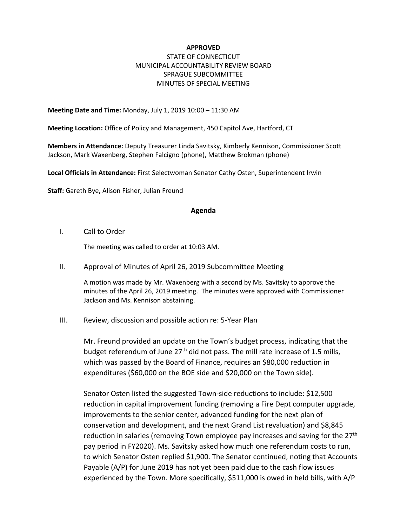#### **APPROVED**

# STATE OF CONNECTICUT MUNICIPAL ACCOUNTABILITY REVIEW BOARD SPRAGUE SUBCOMMITTEE MINUTES OF SPECIAL MEETING

**Meeting Date and Time:** Monday, July 1, 2019 10:00 – 11:30 AM

**Meeting Location:** Office of Policy and Management, 450 Capitol Ave, Hartford, CT

**Members in Attendance:** Deputy Treasurer Linda Savitsky, Kimberly Kennison, Commissioner Scott Jackson, Mark Waxenberg, Stephen Falcigno (phone), Matthew Brokman (phone)

**Local Officials in Attendance:** First Selectwoman Senator Cathy Osten, Superintendent Irwin

**Staff:** Gareth Bye**,** Alison Fisher, Julian Freund

### **Agenda**

I. Call to Order

The meeting was called to order at 10:03 AM.

## II. Approval of Minutes of April 26, 2019 Subcommittee Meeting

A motion was made by Mr. Waxenberg with a second by Ms. Savitsky to approve the minutes of the April 26, 2019 meeting. The minutes were approved with Commissioner Jackson and Ms. Kennison abstaining.

## III. Review, discussion and possible action re: 5-Year Plan

Mr. Freund provided an update on the Town's budget process, indicating that the budget referendum of June 27<sup>th</sup> did not pass. The mill rate increase of 1.5 mills, which was passed by the Board of Finance, requires an \$80,000 reduction in expenditures (\$60,000 on the BOE side and \$20,000 on the Town side).

Senator Osten listed the suggested Town-side reductions to include: \$12,500 reduction in capital improvement funding (removing a Fire Dept computer upgrade, improvements to the senior center, advanced funding for the next plan of conservation and development, and the next Grand List revaluation) and \$8,845 reduction in salaries (removing Town employee pay increases and saving for the 27<sup>th</sup> pay period in FY2020). Ms. Savitsky asked how much one referendum costs to run, to which Senator Osten replied \$1,900. The Senator continued, noting that Accounts Payable (A/P) for June 2019 has not yet been paid due to the cash flow issues experienced by the Town. More specifically, \$511,000 is owed in held bills, with A/P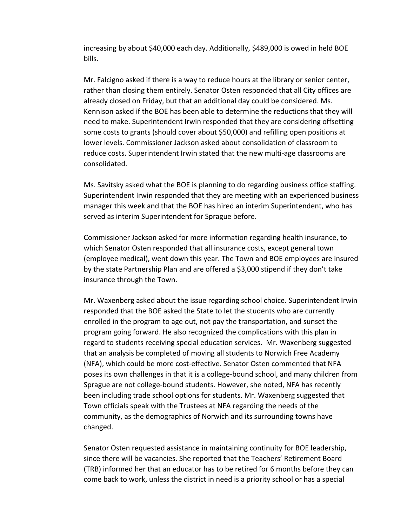increasing by about \$40,000 each day. Additionally, \$489,000 is owed in held BOE bills.

Mr. Falcigno asked if there is a way to reduce hours at the library or senior center, rather than closing them entirely. Senator Osten responded that all City offices are already closed on Friday, but that an additional day could be considered. Ms. Kennison asked if the BOE has been able to determine the reductions that they will need to make. Superintendent Irwin responded that they are considering offsetting some costs to grants (should cover about \$50,000) and refilling open positions at lower levels. Commissioner Jackson asked about consolidation of classroom to reduce costs. Superintendent Irwin stated that the new multi-age classrooms are consolidated.

Ms. Savitsky asked what the BOE is planning to do regarding business office staffing. Superintendent Irwin responded that they are meeting with an experienced business manager this week and that the BOE has hired an interim Superintendent, who has served as interim Superintendent for Sprague before.

Commissioner Jackson asked for more information regarding health insurance, to which Senator Osten responded that all insurance costs, except general town (employee medical), went down this year. The Town and BOE employees are insured by the state Partnership Plan and are offered a \$3,000 stipend if they don't take insurance through the Town.

Mr. Waxenberg asked about the issue regarding school choice. Superintendent Irwin responded that the BOE asked the State to let the students who are currently enrolled in the program to age out, not pay the transportation, and sunset the program going forward. He also recognized the complications with this plan in regard to students receiving special education services. Mr. Waxenberg suggested that an analysis be completed of moving all students to Norwich Free Academy (NFA), which could be more cost-effective. Senator Osten commented that NFA poses its own challenges in that it is a college-bound school, and many children from Sprague are not college-bound students. However, she noted, NFA has recently been including trade school options for students. Mr. Waxenberg suggested that Town officials speak with the Trustees at NFA regarding the needs of the community, as the demographics of Norwich and its surrounding towns have changed.

Senator Osten requested assistance in maintaining continuity for BOE leadership, since there will be vacancies. She reported that the Teachers' Retirement Board (TRB) informed her that an educator has to be retired for 6 months before they can come back to work, unless the district in need is a priority school or has a special